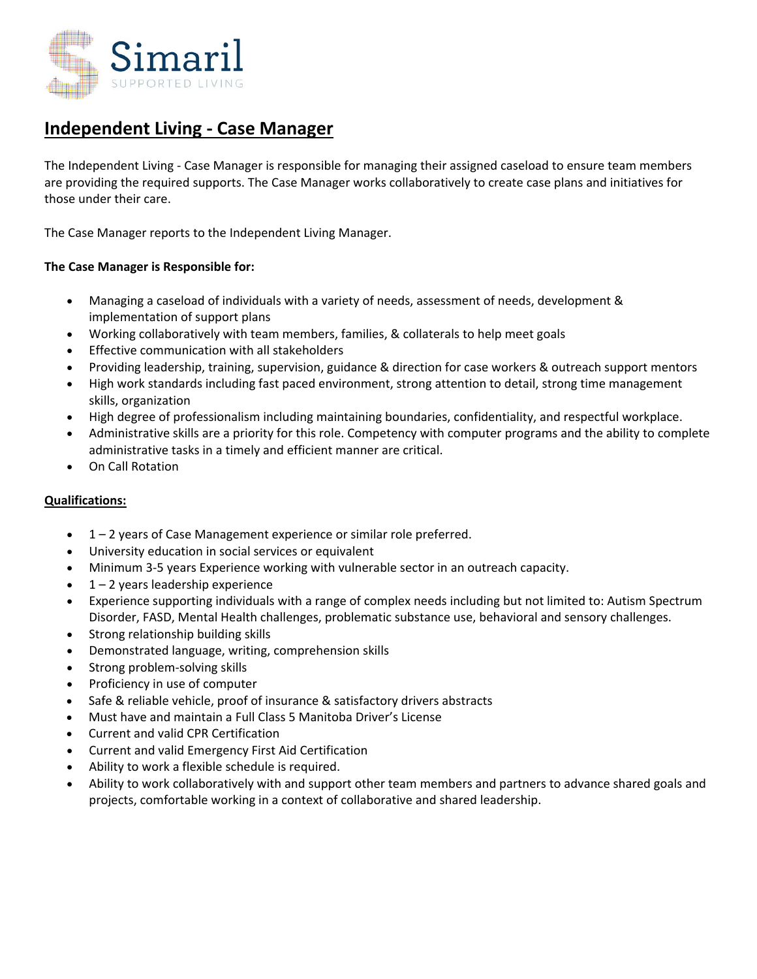

# **Independent Living ‐ Case Manager**

The Independent Living ‐ Case Manager is responsible for managing their assigned caseload to ensure team members are providing the required supports. The Case Manager works collaboratively to create case plans and initiatives for those under their care.

The Case Manager reports to the Independent Living Manager.

## **The Case Manager is Responsible for:**

- Managing a caseload of individuals with a variety of needs, assessment of needs, development & implementation of support plans
- Working collaboratively with team members, families, & collaterals to help meet goals
- Effective communication with all stakeholders
- Providing leadership, training, supervision, guidance & direction for case workers & outreach support mentors
- High work standards including fast paced environment, strong attention to detail, strong time management skills, organization
- High degree of professionalism including maintaining boundaries, confidentiality, and respectful workplace.
- Administrative skills are a priority for this role. Competency with computer programs and the ability to complete administrative tasks in a timely and efficient manner are critical.
- On Call Rotation

## **Qualifications:**

- 1 2 years of Case Management experience or similar role preferred.
- University education in social services or equivalent
- Minimum 3‐5 years Experience working with vulnerable sector in an outreach capacity.
- 1 2 years leadership experience
- Experience supporting individuals with a range of complex needs including but not limited to: Autism Spectrum Disorder, FASD, Mental Health challenges, problematic substance use, behavioral and sensory challenges.
- Strong relationship building skills
- Demonstrated language, writing, comprehension skills
- Strong problem‐solving skills
- Proficiency in use of computer
- Safe & reliable vehicle, proof of insurance & satisfactory drivers abstracts
- Must have and maintain a Full Class 5 Manitoba Driver's License
- Current and valid CPR Certification
- Current and valid Emergency First Aid Certification
- Ability to work a flexible schedule is required.
- Ability to work collaboratively with and support other team members and partners to advance shared goals and projects, comfortable working in a context of collaborative and shared leadership.